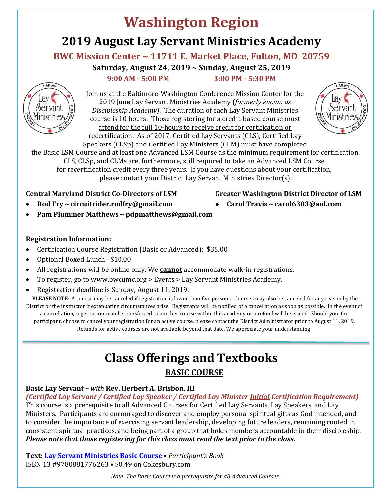# **Washington Region 2019 August Lay Servant Ministries Academy**

## **BWC Mission Center ~ 11711 E. Market Place, Fulton, MD 20759**

**Saturday, August 24, 2019 ~ Sunday, August 25, 2019**

 **9:00 AM - 5:00 PM 3:00 PM - 5:30 PM**



Join us at the Baltimore-Washington Conference Mission Center for the 2019 June Lay Servant Ministries Academy (*formerly known as Discipleship Academy)*. The duration of each Lay Servant Ministries course is 10 hours. Those registering for a credit-based course must attend for the full 10-hours to receive credit for certification or recertification. As of 2017, Certified Lay Servants (CLS), Certified Lay



Speakers (CLSp) and Certified Lay Ministers (CLM) must have completed the Basic LSM Course and at least one Advanced LSM Course as the minimum requirement for certification. CLS, CLSp, and CLMs are, furthermore, still required to take an Advanced LSM Course for recertification credit every three years. If you have questions about your certification, please contact your District Lay Servant Ministries Director(s).

## **Central Maryland District Co-Directors of LSM Greater Washington District Director of LSM**

- 
- **Rod Fry ~ circuitrider.rodfry@gmail.com** • **Carol Travis ~ [carol6303@aol.com](mailto:carol6303@aol.com)**
- 
- **Pam Plummer Matthews ~ pdpmatthews@gmail.com**

#### **Registration Information:**

- Certification Course Registration (Basic or Advanced): \$35.00
- Optional Boxed Lunch: \$10.00
- All registrations will be online only. We **cannot** accommodate walk-in registrations.
- To register, go to www.bwcumc.org > Events > Lay Servant Ministries Academy.
- Registration deadline is Sunday, August 11, 2019.

**PLEASE NOTE**: A course may be canceled if registration is lower than five persons. Courses may also be canceled for any reason by the District or the instructor if extenuating circumstances arise. Registrants will be notified of a cancellation as soon as possible. In the event of a cancellation, registrations can be transferred to another course within this academy or a refund will be issued. Should you, the participant, choose to cancel your registration for an active course, please contact the District Administrator prior to August 11, 2019. Refunds for active courses are not available beyond that date. We appreciate your understanding.

> **Class Offerings and Textbooks BASIC COURSE**

## **Basic Lay Servant –** *with* **Rev. Herbert A. Brisbon, III**

*(Certified Lay Servant / Certified Lay Speaker / Certified Lay Minister Initial Certification Requirement)*

This course is a prerequisite to all Advanced Courses for Certified Lay Servants, Lay Speakers, and Lay Ministers. Participants are encouraged to discover and employ personal spiritual gifts as God intended, and to consider the importance of exercising servant leadership, developing future leaders, remaining rooted in consistent spiritual practices, and being part of a group that holds members accountable in their discipleship. *Please note that those registering for this class must read the text prior to the class.*

**Text[:](http://www.cokesbury.com/forms/ProductDetail.aspx?pid=1197025&rank=1&txtSearchQuery=basic+lay+servant) [Lay Servant Ministries Basic Course](https://www.cokesbury.com/product/9780881776263/lay-servant-ministries-basic-course-participants-book/)** • *Participant's Book* ISBN 13 #9780881776263 • \$8.49 on [C](https://www.cokesbury.com/product/9780881776263/lay-servant-ministries-basic-course-participants-book/?rank=0&txtSearchQuery=Lay%20Servant%20Ministries%20Basic%20Course%20Participant%27s%20Book)okesbury.com

*Note: The Basic Course is a prerequisite for all Advanced Courses.*